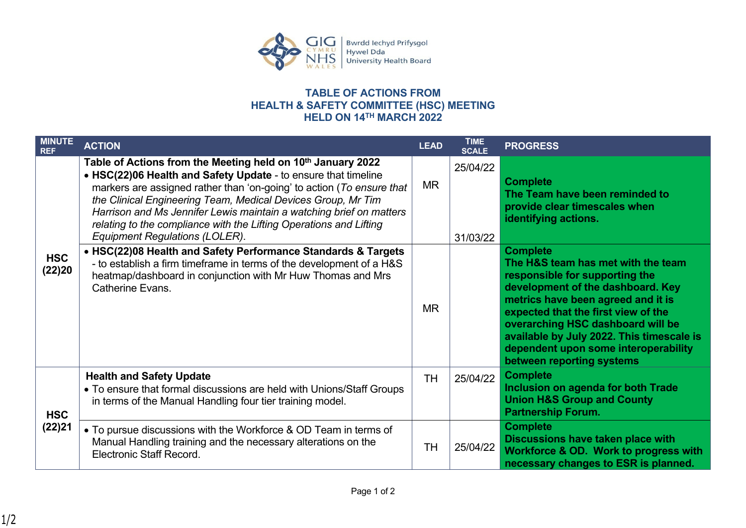

## **TABLE OF ACTIONS FROM HEALTH & SAFETY COMMITTEE (HSC) MEETING HELD ON 14TH MARCH 2022**

| <b>MINUTE</b><br><b>REF</b> | <b>ACTION</b>                                                                                                                                                                                                                                                                                                                                                                                                                                                            | <b>LEAD</b> | <b>TIME</b><br><b>SCALE</b> | <b>PROGRESS</b>                                                                                                                                                                                                                                                                                                                                                  |
|-----------------------------|--------------------------------------------------------------------------------------------------------------------------------------------------------------------------------------------------------------------------------------------------------------------------------------------------------------------------------------------------------------------------------------------------------------------------------------------------------------------------|-------------|-----------------------------|------------------------------------------------------------------------------------------------------------------------------------------------------------------------------------------------------------------------------------------------------------------------------------------------------------------------------------------------------------------|
| <b>HSC</b><br>(22)20        | Table of Actions from the Meeting held on 10 <sup>th</sup> January 2022<br>• HSC(22)06 Health and Safety Update - to ensure that timeline<br>markers are assigned rather than 'on-going' to action (To ensure that<br>the Clinical Engineering Team, Medical Devices Group, Mr Tim<br>Harrison and Ms Jennifer Lewis maintain a watching brief on matters<br>relating to the compliance with the Lifting Operations and Lifting<br><b>Equipment Regulations (LOLER).</b> | <b>MR</b>   | 25/04/22<br>31/03/22        | <b>Complete</b><br>The Team have been reminded to<br>provide clear timescales when<br>identifying actions.                                                                                                                                                                                                                                                       |
|                             | • HSC(22)08 Health and Safety Performance Standards & Targets<br>- to establish a firm timeframe in terms of the development of a H&S<br>heatmap/dashboard in conjunction with Mr Huw Thomas and Mrs<br>Catherine Evans.                                                                                                                                                                                                                                                 | <b>MR</b>   |                             | <b>Complete</b><br>The H&S team has met with the team<br>responsible for supporting the<br>development of the dashboard. Key<br>metrics have been agreed and it is<br>expected that the first view of the<br>overarching HSC dashboard will be<br>available by July 2022. This timescale is<br>dependent upon some interoperability<br>between reporting systems |
| <b>HSC</b><br>(22)21        | <b>Health and Safety Update</b><br>• To ensure that formal discussions are held with Unions/Staff Groups<br>in terms of the Manual Handling four tier training model.                                                                                                                                                                                                                                                                                                    | <b>TH</b>   | 25/04/22                    | <b>Complete</b><br>Inclusion on agenda for both Trade<br><b>Union H&amp;S Group and County</b><br><b>Partnership Forum.</b>                                                                                                                                                                                                                                      |
|                             | • To pursue discussions with the Workforce & OD Team in terms of<br>Manual Handling training and the necessary alterations on the<br><b>Electronic Staff Record.</b>                                                                                                                                                                                                                                                                                                     | <b>TH</b>   | 25/04/22                    | <b>Complete</b><br>Discussions have taken place with<br>Workforce & OD. Work to progress with<br>necessary changes to ESR is planned.                                                                                                                                                                                                                            |